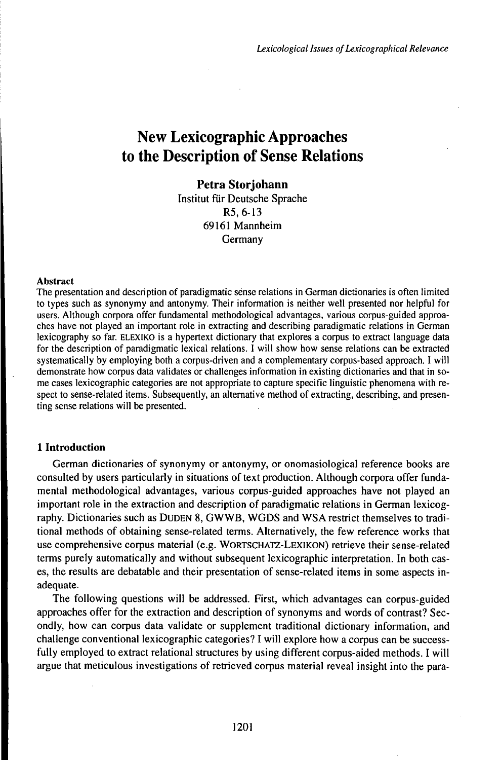# **New Lexicographic Approaches to the Description of Sense Relations**

# **Petra Storjohann**

Institut für Deutsche Sprache R5, 6-13 69161 Mannheim Germany

#### Abstract

The presentation and description of paradigmatic sënse relations in German dictionaries is often limited to types such as synonymy and antonymy. Their information is neither well presented nor helpful for users. Although corpora offer fundamental methodological advantages, various corpus-guided approaches have not played an important role in extracting and describing paradigmatic relations in German lexicography so far. ELEXiKO is a hypertext dictionary that explores a corpus to extract language data for the description of paradigmatic lexical relations. I will show how sense relations can be extracted systematically by employing both a corpus-driven and a complementary corpus-based approach. I will demonstrate how corpus data validates or challenges information in existing dictionaries and that in some cases lexicographic categories are not appropriate to capture specific linguistic phenomena with respect to sense-related items. Subsequently, an alternative method of extracting, describing, and presenting sense relations will be presented.

# **1 Introduction**

German dictionaries of synonymy or antonymy, or onomasiological reference books are consulted by users particularly in situations of text production. Although corpora offer fundamental methodological advantages, various corpus-guided approaches have not played an important role in the extraction and description of paradigmatic relations in German lexicography. Dictionaries such as DuDEN 8, GWWB, WGDS and WSA restrict themselves to traditional methods of obtaining sense-related terms. Alternatively, the few reference works that use comprehensive corpus material (e.g. WORTSCHATZ-LEXIKON) retrieve their sense-related terms purely automatically and without subsequent lexicographic interpretation. In both cases, the results are debatable and their presentation of sense-related items in some aspects inadequate.

The following questions will be addressed. First, which advantages can corpus-guided approaches offer for the extraction and description of synonyms and words of contrast? Secondly, how can corpus data validate or supplement traditional dictionary information, and challenge conventional lexicographic categories? I will explore how a corpus can be successfully employed to extract relational structures by using different corpus-aided methods. I will argue that meticulous investigations of retrieved corpus material reveal insight into the para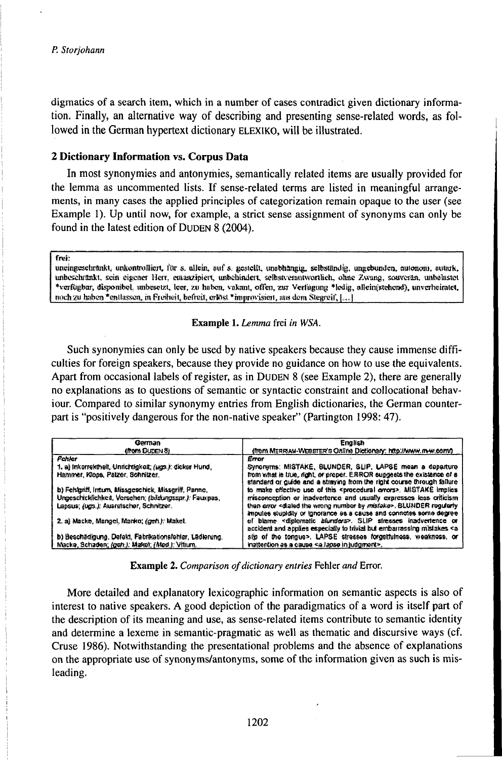digmatics of a search item, which in a number of cases contradict given dictionary information. Finally, an alternative way of describing and presenting sense-related words, as followed in the German hypertext dictionary ELEXIKO, will be illustrated.

## 2 Dictionary Information vs. Corpus Data

In most synonymies and antonymies, semantically related items are usually provided for the lemma as uncommented lists. If sense-related terms are listed in meaningful arrangements, in many cases the applied principles of categorization remain opaque to the user (see Example 1). Up until now, for example, a strict sense assignment of synonyms can only be found in the latest edition of DUDEN 8 (2004).

freis

uneingeschränkt, unkontrolliert, für s. allein, auf s. gestellt, unabhängig, selbständig, ungebunden, autonom, autark, unheschränkt, sein eigener Herr, emanzipiert, unbehindert, selbstverantwortlich, ohne Zwang, souverän, unbelastet \*verfügbar, disponibel, unbesetzt, leer, zu haben, vakant, offen, zur Verfügung \*ledig, allein(stehend), unverheiratet, noch zu haben \*entlassen, in Freiheit, befreit, erlöst \*improvisien, aus dem Stegreit, [...]

#### Example 1. Lemma frei in WSA.

Such synonymies can only be used by native speakers because they cause immense difficulties for foreign speakers, because they provide no guidance on how to use the equivalents. Apart from occasional labels of register, as in DUDEN 8 (see Example 2), there are generally no explanations as to questions of semantic or syntactic constraint and collocational behaviour. Compared to similar synonymy entries from English dictionaries, the German counterpart is "positively dangerous for the non-native speaker" (Partington 1998: 47).

| German                                                  | <b>English</b>                                                                                                                                                         |
|---------------------------------------------------------|------------------------------------------------------------------------------------------------------------------------------------------------------------------------|
| (from DUDEN 8)                                          | (from MERRIAM-WEBSTER'S Online Dictionary: http://www.m-w.com/).                                                                                                       |
| <b>Fehler</b>                                           | Error                                                                                                                                                                  |
| 1. a) Inkorrektheit, Unnchtigkeit, (ugs.): dicker Hund, | Syronyms: MISTAKE, BLUNDER, SLIP, LAPSE mean a departure                                                                                                               |
| Hammer, Klops, Palzer, Schnitzer,                       | from what is tale, right, or proper. ERROR supposts the existence of a<br>standard or guide and a straying from the right course through failure                       |
| b) Fehlgriff, Inturn, Missgeschick, Missgriff, Panne,   | to make effective use of this <procedural errors="">. MISTAKE implies</procedural>                                                                                     |
| Ungeschicklichkeit, Versehen; (bildungsspr.): Fauxpas,  | misconocption or inadvertence and usually expresses loss criticism                                                                                                     |
| Lapsus; (ugs.): Auarutscher, Schrätzer.                 | than arror <diated by="" mistake="" number="" the="" wrong="">, BLUNDER regularly<br/>impulse studidity or ignorance as a cause and connotes some degree</diated>      |
| 2. a) Macke, Mangel, Marko; (gert.): Makel.             | of blame <diplomatic blunders="">. SLIP stresses inadvertence or<br/>accident and applies especially to trivial but embarrassing mistakes <a< td=""></a<></diplomatic> |
| b) Beschädigung, Defekt, Fabrikationsfehler, Lädlerung, | sto of the tongue>. LAPSE stresses forgettulness, weakness, or                                                                                                         |
| Macke, Schaden; (gun.): Makel; (Mad.): Villum.          | inattention as a cause <a in="" judgment="" lapse="">.</a>                                                                                                             |

Example 2. Comparison of dictionary entries Fehler and Error.

More detailed and explanatory lexicographic information on semantic aspects is also of interest to native speakers. A good depiction of the paradigmatics of a word is itself part of the description of its meaning and use, as sense-related items contribute to semantic identity and determine a lexeme in semantic-pragmatic as well as thematic and discursive ways (cf. Cruse 1986). Notwithstanding the presentational problems and the absence of explanations on the appropriate use of synonyms/antonyms, some of the information given as such is misleading.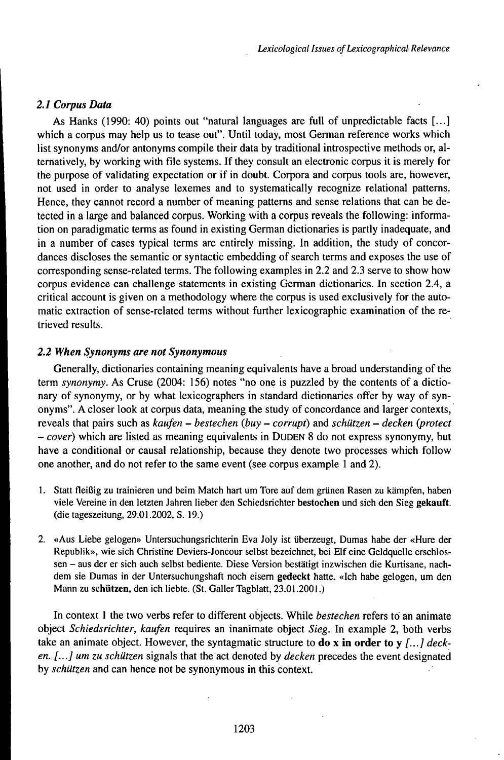## *2.1 Corpus Data*

As Hanks (1990: 40) points out "natural languages are full of unpredictable facts [...] which a corpus may help us to tease out". Until today, most German reference works which list synonyms and/or antonyms compile their data by traditional introspective methods or, alternatively, by working with file systems. If they consult an electronic corpus it is merely for the purpose of validating expectation or if in doubt. Corpora and corpus tools are, however, not used in order to analyse lexemes and to systematically recognize relational patterns. Hence, they cannot record a number of meaning patterns and sense relations that can be detected in a large and balanced corpus. Working with a corpus reveals the following: information on paradigmatic terms as found in existing German dictionaries is partly inadequate, and in a number of cases typical terms are entirely missing. In addition, the study of concordances discloses the semantic or syntactic embedding of search terms and exposes the use of corresponding sense-related terms. The following examples in 2.2 and 2.3 serve to show how corpus evidence can challenge statements in existing German dictionaries. In section 2.4, a critical account is given on a methodology where the corpus is used exclusively for the automatic extraction of sense-related terms without further lexicographic examination of the retrieved results.

## *2.2 When Synonyms are not Synonymous*

Generally, dictionaries containing meaning equivalents have a broad understanding of the term *synonymy.* As Cruse (2004: 156) notes "no one is puzzled by the contents of a dictionary of synonymy, or by what lexicographers in standard dictionaries offer by way of synonyms". A closer look at corpus data, meaning the study of concordance and larger contexts, reveals that pairs such as *kaufen - bestechen (buy - corrupt)* and *schützen - decken protect - cover)* which are listed as meaning equivalents in DUDEN <sup>8</sup> do not express synonymy, but have a conditional or causal relationship, because they denote two processes which follow one another, and do not refer to the same event (see corpus example <sup>1</sup> and 2).

- 1. Statt fleißig zu trainieren und beim Match hart um Tore auf dem grünen Rasen zu kämpfen, haben viele Vereine in den letzten Jahren lieber den Schiedsrichter **bestochen** und sich den Sieg **gekauft.** (die tageszeitung, 29.01.2002, S. 19.)
- 2. «Aus Liebe gelogen» Untersuchungsrichterin Eva Joly ist überzeugt, Dumas habe der «Hure der Republik», wie sich Christine Deviers-Joncour selbst bezeichnet, bei Elf eine Geldquelle erschlossen - aus der er sich auch selbst bediente. Diese Version bestätigt inzwischen die Kurtisane, nachdem sie Dumas in der Untersuchungshaft noch eisem **gedeckt** hatte. «Ich habe gelogen, um den Mann zu **schützen,** den ich liebte. (St. GallerTagblatt, 23.01.2001.)

In context <sup>1</sup> the two verbs refer to different objects. While *bestechen* refers to an animate object *Schiedsrichter, kaufen* requires an inanimate object *Sieg.* In example 2, both verbs take an animate object. However, the syntagmatic structure to **do** x **in order to** y *[...] decken. [...] um zu schützen* signals that the act denoted by *decken* precedes the event designated by *schützen* and can hence not be synonymous in this context.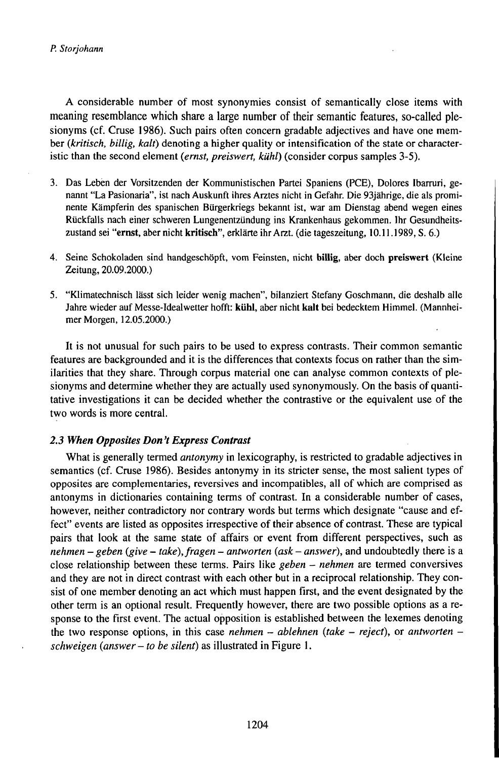A considerable number of most synonymies consist of semantically close items with meaning resemblance which share a large number of their semantic features, so-called plesionyms (cf. Cruse 1986). Such pairs often concern gradable adjectives and have one member *(kritisch, billig, kalt)* denoting a higher quality or intensification of the state or characteristic than the second element *(ernst, preiswert, kühl)* (consider corpus samples 3-5).

- 3. Das Lebèn der Vorsitzenden der Kommunistischen Partei Spaniens (PCE), Dolores Ibarruri, genannt "La Pasionaria", ist nach Auskunft ihres Arztes nicht in Gefahr. Die 93jährige, die als prominente Kämpferin des spanischen Bürgerkriegs bekannt ist, war am Dienstag abend wegen eines Rückfalls nach einer schweren Lungenentzündung ins Krankenhaus gekommen. Ihr Gesundheitszustand sei **"ernst,** aber nicht **kritisch",** erklärte ihrArzt. (die tageszeitung, 10.11.1989, S. 6.)
- 4. Seine Schokoladen sind handgeschöpft, vom Feinsten, nicht biUig, aber doch preiswert (Kleine Zeitung, 20.09.2000.)
- 5. "KHmatechnisch lässt sich leider wenig machen", bilanziert Stefany Goschmann, die deshalb alle Jahre wieder auf Messe-Idealwetter hofft: **kühl,** aber nicht **kalt** bei bedecktem Himmel. (Mannheimer Morgen, 12.05.2000.)

It is not unusual for such pairs to be used to express contrasts. Their common semantic features are backgrounded and it is the differences that contexts focus on rather than the similarities that they share. Through corpus material one can analyse common contexts of plesionyms and determine whether they are actually used synonymously. On the basis of quantitative investigations it can be decided whether the contrastive or the equivalent use of the two words is more central.

## *2.3 When Opposites Don't Express Contrast*

What is generally termed *antonymy* in lexicography, is restricted to gradable adjectives in semantics (cf. Cruse 1986). Besides antonymy in its stricter sense, the most salient types of opposites are complementaries, reversives and incompatibles, all of which are comprised as antonyms in dictionaries containing terms of contrast. In a considerable number of cases, however, neither contradictory nor contrary words but terms which designate "cause and effect" events are listed as opposites irrespective of their absence of contrast. These are typical pairs that look at the same state of affairs or event from different perspectives, such as *nehmen - geben (give -take),fragen - antworten (ask - answer),* and undoubtedly there is <sup>a</sup> close relationship between these terms. Pairs like *geben - nehmen* are termed conversives and they are not in direct contrast with each other but in a reciprocal relationship. They consist of one member denoting an act which must happen first, and the event designated by the other term is an optional result. Frequently however, there are two possible options as a response to the first event. The actual opposition is established between the lexemes denoting the two response options, in this case *nehmen* - *ablehnen (take - reject),* or *antworten schweigen (answer-to be silent)* as illustrated in Figure 1.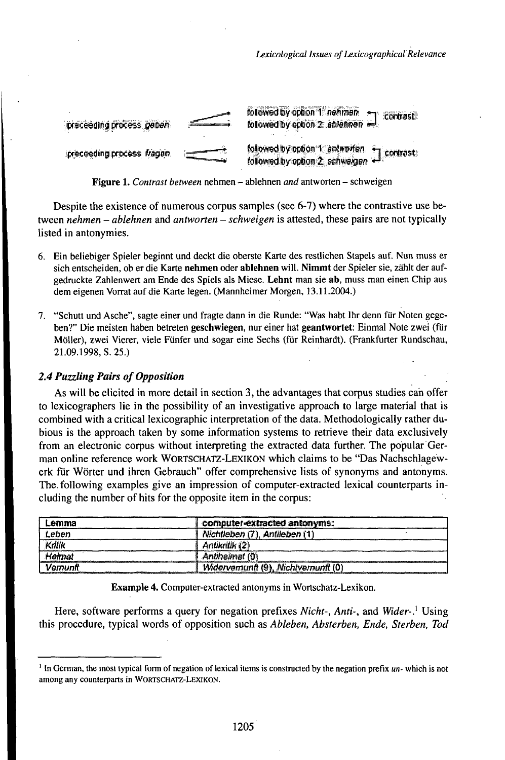

Figure 1. Contrast between nehmen - ablehnen and antworten - schweigen

Despite the existence of numerous corpus samples (see 6-7) where the contrastive use between nehmen – ablehnen and antworten – schweigen is attested, these pairs are not typically listed in antonymies.

- 6. Ein beliebiger Spieler beginnt und deckt die oberste Karte des restlichen Stapels auf. Nun muss er sich entscheiden, ob er die Karte nehmen oder ablehnen will. Nimmt der Spieler sie, zählt der aufgedruckte Zahlenwert am Ende des Spiels als Miese. Lehnt man sie ab, muss man einen Chip aus dem eigenen Vorrat auf die Karte legen. (Mannheimer Morgen, 13.11.2004.)
- 7. "Schutt und Asche", sagte einer und fragte dann in die Runde: "Was habt Ihr denn für Noten gegeben?" Die meisten haben betreten geschwiegen, nur einer hat geantwortet: Einmal Note zwei (für Möller), zwei Vierer, viele Fünfer und sogar eine Sechs (für Reinhardt). (Frankfurter Rundschau, 21.09.1998, S. 25.)

# 2.4 Puzzling Pairs of Opposition

As will be elicited in more detail in section 3, the advantages that corpus studies can offer to lexicographers lie in the possibility of an investigative approach to large material that is combined with a critical lexicographic interpretation of the data. Methodologically rather dubious is the approach taken by some information systems to retrieve their data exclusively from an electronic corpus without interpreting the extracted data further. The popular German online reference work WORTSCHATZ-LEXIKON which claims to be "Das Nachschlagewerk für Wörter und ihren Gebrauch" offer comprehensive lists of synonyms and antonyms. The following examples give an impression of computer-extracted lexical counterparts including the number of hits for the opposite item in the corpus:

| Lemma    | computer-extracted antonyms:        |
|----------|-------------------------------------|
| Leben    | Nichtleben (7), Antileben (1        |
| Kralík   | Antikritik (2)                      |
| Hemal    | Antiheimat (0)                      |
| Vernunfi | Widervernund (9), Michtvernunft (0) |

Example 4. Computer-extracted antonyms in Wortschatz-Lexikon.

Here, software performs a query for negation prefixes Nicht-, Anti-, and Wider-.<sup>1</sup> Using this procedure, typical words of opposition such as Ableben, Absterben, Ende, Sterben, Tod

<sup>&</sup>lt;sup>1</sup> In German, the most typical form of negation of lexical items is constructed by the negation prefix un- which is not among any counterparts in WORTSCHATZ-LEXIKON.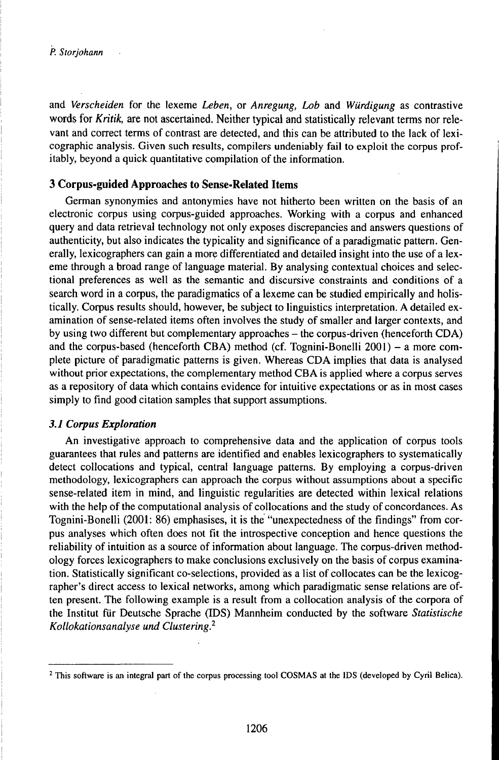and *Verscheiden* for the lexeme *Leben,* or *Anregung, Lob* and *Würdigung* as contrastive words for *Kritik,* are not ascertained. Neither typical and statistically relevant terms nor relevant and correct terms of contrast are detected, and this can be attributed to the lack of lexicographic analysis. Given such results, compilers undeniably fail to exploit the corpus profitably, beyond a quick quantitative compilation of the information.

# **3 Corpus-guided Approaches to Sense-Related Items**

German synonymies and antonymies have not hitherto been written on the basis of an electronic corpus using corpus-guided approaches. Working with a corpus and enhanced query and data retrieval technology not only exposes discrepancies and answers questions of authenticity, but also indicates the typicality and significance of a paradigmatic pattern. Generally, lexicographers can gain a more differentiated and detailed insight into the use of a lexeme through a broad range of language material. By analysing contextual choices and selectional preferences as well as the semantic and discursive constraints and conditions of a search word in a corpus, the paradigmatics of a lexeme can be studied empirically and holistically. Corpus results should, however, be subject to linguistics interpretation. A detailed examination of sense-related items often involves the study of smaller and larger contexts, and by using two different but complementary approaches - the corpus-driven (henceforth CDA) and the corpus-based (henceforth CBA) method (cf. Tognini-Bonelli 2001) - a more complete picture of paradigmatic patterns is given. Whereas CDA implies that data is analysed without prior expectations, the complementary method CBA is applied where a corpus serves as a repository of data which contains evidence for intuitive expectations or as in most cases simply to find good citation samples that support assumptions.

## *3.1 Corpus Exploration*

An investigative approach to comprehensive data and the application of corpus tools guarantees that rules and patterns are identified and enables lexicographers to systematically detect collocations and typical, central language patterns. By employing a corpus-driven methodology, lexicographers can approach the corpus without assumptions about a specific sense-related item in mind, and linguistic regularities are detected within lexical relations with the help of the computational analysis of collocations and the study of concordances. As Tognini-Bonelli (2001: 86) emphasises, it is the "unexpectedness of the findings" from corpus analyses which often does not fit the introspective conception and hence questions the reliability of intuition as a source of information about language. The corpus-driven methodology forces lexicographers to make conclusions exclusively on the basis of corpus examination. Statistically significant co-selections, provided as a list of collocates can be the lexicographer's direct access to lexical networks, among which paradigmatic sense relations are often present. The following example is a result from a collocation analysis of the corpora of the Institut für Deutsche Sprache (IDS) Mannheim conducted by the software *Statistische Kollokationsanalyse und Clustering.<sup>2</sup>*

*<sup>1</sup>* This software is an integral part of the corpus processing tool COSMAS at the IDS (developed by Cyril Belica).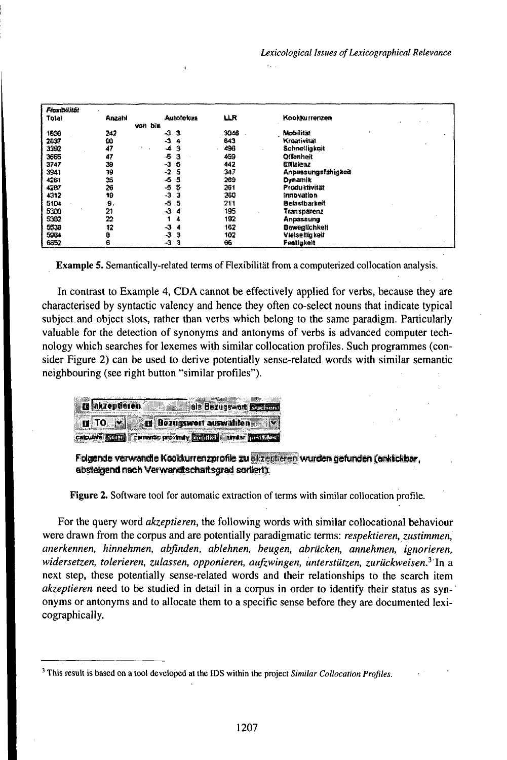| <b>Floxibilität</b> |        |                  |       |                            |  |
|---------------------|--------|------------------|-------|----------------------------|--|
| Total               | Anzahl | <b>Autolokus</b> | LLR   | Kookkurrenzen              |  |
|                     |        | von bis-         |       |                            |  |
| 1836                | 242    | -31<br>-3        | -3048 | Mobilität.                 |  |
| 2837                | 60     | -3<br>4          | 843   | Kroativitat                |  |
| 3992                | 47     | $-42$            | 496   | Schnelligkeit              |  |
| 3665                | 47     | -5<br>3          | 459   | Offenheit                  |  |
| 3747                | 39     | G.<br>-3         | 442   | Effizienz                  |  |
| 3941                | 19     | -5<br>$-2$       | 347   | <b>Anpassungsfähigkeit</b> |  |
| 4261                | 36     | 5<br>-5          | 269   | Dynamik                    |  |
| 4287                | 26     | -5<br>5          | 261   | Produktivität              |  |
| 4312                | 19     | -3<br>з          | 260   | <b>Imnovation</b>          |  |
| 5104                | 9.     | -5<br>-5         | 211   | Belastbarkeit              |  |
| 5300                | 21     | 4<br>4           | 135   | Transparenz                |  |
| 5362                | 22     | 4                | 192   | Anpassung                  |  |
| 5538                | 12     | -3<br>4          | 162   | Beweglichkeit              |  |
| 5964                | ġ      | ډ<br>Э.          | 102   | Vielseitig keit            |  |
| 6352                | 6      | -3<br>з          | 66    | <b>Festigkeit</b>          |  |

 $\mathbf{r}$ 

Example 5. Semantically-related terms of Flexibilität from a computerized collocation analysis.

In contrast to Example 4, CDA cannot be effectively applied for verbs, because they are characterised by syntactic valency and hence they often co-select nouns that indicate typical subject and object slots, rather than verbs which belong to the same paradigm. Particularly valuable for the detection of synonyms and antonyms of verbs is advanced computer technology which searches for lexemes with similar collocation profiles. Such programmes (consider Figure 2) can be used to derive potentially sense-related words with similar semantic neighbouring (see right button "similar profiles").

| a nhzepderen<br>als Bezugswort <b>For any</b>            |  |
|----------------------------------------------------------|--|
| <b>II</b> TO <b>V II</b> Bezugswert auswahlen<br>्लाम    |  |
| cataste FILES served: prostray Entitles stress functions |  |

Folgende verwandte Kookkurrenzprofile zu ekzentieren wurden gefunden (anklickbar, absteigend nach Verwandtschaftsgrad sorliert):

Figure 2. Software tool for automatic extraction of terms with similar collocation profile.

For the query word *akzeptieren*, the following words with similar collocational behaviour were drawn from the corpus and are potentially paradigmatic terms: respektieren, zustimmen, anerkennen, hinnehmen, abfinden, ablehnen, beugen, abrücken, annehmen, ignorieren, widersetzen, tolerieren, zulassen, opponieren, aufzwingen, unterstützen, zurückweisen.<sup>3:</sup> In a next step, these potentially sense-related words and their relationships to the search item *akzeptieren* need to be studied in detail in a corpus in order to identify their status as synonyms or antonyms and to allocate them to a specific sense before they are documented lexicographically.

<sup>&</sup>lt;sup>3</sup> This result is based on a tool developed at the IDS within the project Similar Collocation Profiles.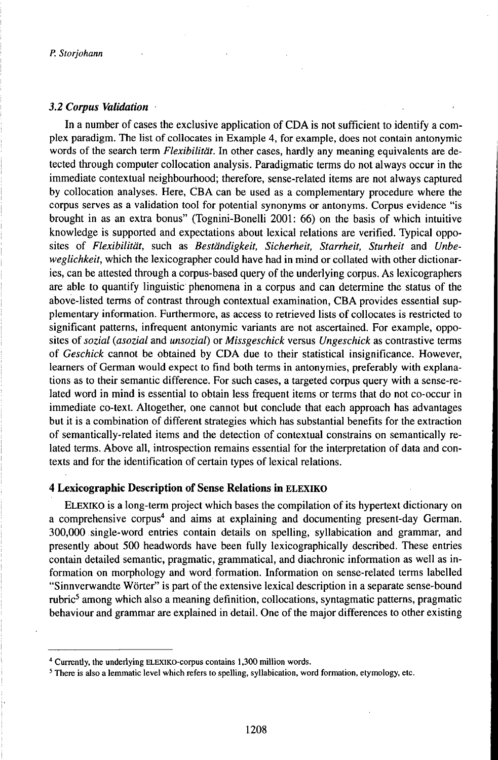#### *3.2 Corpus Validation*

In a number of cases the exclusive application of CDA is not sufficient to identify a complex paradigm. The list of collocates in Example 4, for example, does not contain antonymic words of the search term *Flexibilität.* In other cases, hardly any meaning equivalents are detected through computer collocation analysis. Paradigmatic terms do not always occur in the immediate contextual neighbourhood; therefore, sense-related items are not always captured by collocation analyses. Here, ĆBA can be used as a complementary procedure where the corpus serves as a validation tool for potential synonyms or antonyms. Corpus evidence "is brought in as an extra bonus" (Tognini-Bonelli 2001: 66) on the basis of which intuitive knowledge is supported and expectations about lexical relations are verified. Typical opposites of *Flexibilität,* such as *Beständigkeit, Sicherheit, Starrheit, Sturheit* and *Unbeweglichkeit,* which the lexicographer could have had in mind or collated with other dictionaries, can be attested through a corpus-based query of the underlying corpus. As lexicographers are able to quantify linguistic phenomena in a corpus and can determine the status of the above-listed terms of contrast through contextual examination, CBA provides essential supplementary information. Furthermore, as access to retrieved lists of collocates is restricted to significant patterns, infrequent antonymic variants are not ascertained. For example, opposites of *sozial (asozial* and *unsozial)* or *Missgeschick* versus *Ungeschick* as contrastive terms of *Geschick* cannot be obtained by CDA due to their statistical insignificance. However, learners of German would expect to find both terms in antonymies, preferably with explanations as to their semantic difference. For such cases, a targeted corpus query with a sense-related word in mind is essential to obtain less frequent items or terms that do not co-occur in immediate co-text. Altogether, one cannot but conclude that each approach has advantages but it is a combination of different strategies which has substantial benefits for the extraction of semantically-related items and the detection of contextual constrains on semantically related terms. Above all, introspection remains essential for the interpretation of data and contexts and for the identification of certain types of lexical relations.

## **4 Lexicographic Description of Sense Relations in ELEXIKO**

ELEXiKO is a long-term project which bases the compilation of its hypertext dictionary on a comprehensive corpus<sup>4</sup> and aims at explaining and documenting present-day German. 300,000 single-word entries contain details on spelling, syllabication and grammar, and presently about 500 headwords have been fully lexicographically described. These entries contain detailed semantic, pragmatic, grammatical, and diachronic information as well as information on morphology and word formation. Information on sense-related terms labelled "Sinnverwandte Wörter" is part of the extensive lexical description in a separate sense-bound rubric<sup>5</sup> among which also a meaning definition, collocations, syntagmatic patterns, pragmatic behaviour and grammar are explained in detail. One of the major differences to other existing

<sup>&</sup>lt;sup>4</sup> Currently, the underlying ELEXIKO-corpus contains 1,300 million words.

<sup>5</sup> There is also a lemmatic level which refers to spelling, syllabication, word formation, etymology, etc.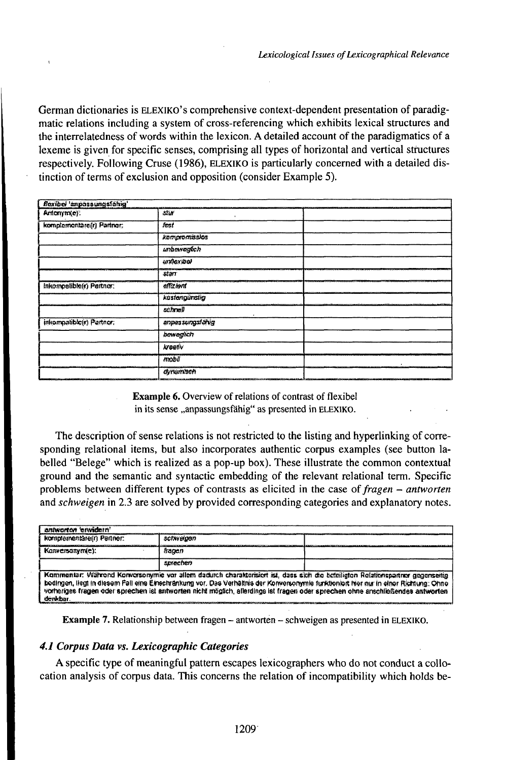German dictionaries is ELEXIKO's comprehensive context-dependent presentation of paradigmatic relations including a system of cross-referencing which exhibits lexical structures and the interrelatedness of words within the lexicon. A detailed account of the paradigmatics of a lexeme is given for specific senses, comprising all types of horizontal and vertical structures respectively. Following Cruse (1986), ELEXIKO is particularly concerned with a detailed distinction of terms of exclusion and opposition (consider Example 5).

| flexibel 'empossungsfähig' |                   |  |
|----------------------------|-------------------|--|
| Antonym(e):                | stia              |  |
| kompformentare(r) Partners | fest              |  |
|                            | kompromissios     |  |
|                            | unbowegóch        |  |
|                            | <b>LOTAGXIDON</b> |  |
|                            | starr             |  |
| Inkompatible(r) Partner:   | affizient         |  |
|                            | kostengunstig     |  |
|                            | actine!           |  |
| inkompatible(r) Partner,   | anpassungsfahig   |  |
|                            | bowagtich         |  |
|                            | kreativ           |  |
|                            | mobil             |  |
|                            | dynamisch         |  |

**Example 6.** Overview of relations of contrast of flexibel in its sense "anpassungsfähig" as presented in ELEXIKO.

The description of sense relations is not restricted to the listing and hyperlinking of corresponding relational items, but also incorporates authentic corpus examples (see button labelled "Belege" which is realized as a pop-up box). These illustrate the common contextual ground and the semantic and syntactic embedding of the relevant relational term. Specific problems between different types of contrasts as elicited in the case of fragen – antworten and *schweigen* in 2.3 are solved by provided corresponding categories and explanatory notes.

| antworten erwidern!                                                                                                                                                                                                                                                                                                                                                                                                   |           |  |  |
|-----------------------------------------------------------------------------------------------------------------------------------------------------------------------------------------------------------------------------------------------------------------------------------------------------------------------------------------------------------------------------------------------------------------------|-----------|--|--|
| komplementäre(r) Partner:                                                                                                                                                                                                                                                                                                                                                                                             | schweigen |  |  |
| Kanversanymie):                                                                                                                                                                                                                                                                                                                                                                                                       | francin   |  |  |
|                                                                                                                                                                                                                                                                                                                                                                                                                       | smechen   |  |  |
| Kommentar: Während Konversonymie vor allem dadurch charakterisiert ist, dass sich die beteiligten Relationspartner gegenseitig<br>bodingen, liegt in diesem Fall eine Einschränkung vor. Das Verhältnis der Konversonymie funktioniort hier nur in einer Richtung: Ohne<br>vorheriges fragen oder sprechen ist antworten nicht möglich, allerdings ist fragen oder sprechen ohne anschließendes antworten<br>derkbar. |           |  |  |

**Example 7.** Relationship between fragen – antworten – schweigen as presented in ELEXIKO.

# 4.1 Corpus Data vs. Lexicographic Categories

A specific type of meaningful pattern escapes lexicographers who do not conduct a collocation analysis of corpus data. This concerns the relation of incompatibility which holds be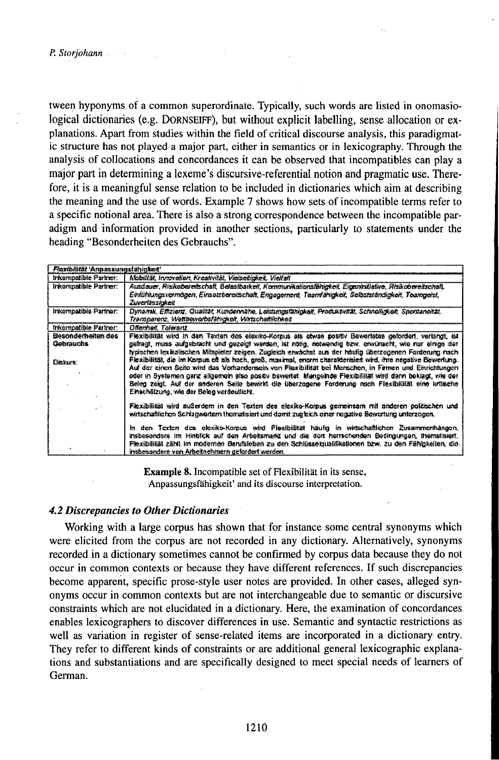tween hyponyms of a common superordinate. Typically, such words are listed in onomasiological dictionaries (e.g. DORNSEIFF), but without explicit labelling, sense allocation or explanations. Apart from studies within the field of critical discourse analysis, this paradigmatic structure has not played a major part, either in semantics or in lexicography. Through the analysis of collocations and concordances it can be observed that incompatibles can play a major part in determining a lexeme's discursive-referential notion and pragmatic use. Therefore, it is a meaningful sense relation to be included in dictionaries which aim at describing the meaning and the use of words. Example 7 shows how sets of incompatible terms refer to a specific notional area. There is also a strong correspondence between the incompatible paradigm and information provided in another sections, particularly to statements under the heading "Besonderheiten des Gebrauchs".

| Flaxibilität 'Annassunasfahiokait'          |                                                                                                                                                                                                                                                                                                                                                                                                                                                                                                                                                                                                                                                                                                                                                                                                                        |
|---------------------------------------------|------------------------------------------------------------------------------------------------------------------------------------------------------------------------------------------------------------------------------------------------------------------------------------------------------------------------------------------------------------------------------------------------------------------------------------------------------------------------------------------------------------------------------------------------------------------------------------------------------------------------------------------------------------------------------------------------------------------------------------------------------------------------------------------------------------------------|
| trikomostible Partner:                      | Mobilität, Irviovation, Kreativität, Vielsetiickeit, Vielfalt                                                                                                                                                                                                                                                                                                                                                                                                                                                                                                                                                                                                                                                                                                                                                          |
| Inkompatible Partner:                       | Ausdauer, Risikobereitschaft, Belastbarkeit, Kommunikalionsförigkeit, Eigeninillative, Risikobereitschaft,<br>Einfühlungsvermögen, Einsatzbereitschaft, Engagement, Teamfähigkeit, Selbstsfändigkeit, Teamgeist,<br>Zuverlässickeit                                                                                                                                                                                                                                                                                                                                                                                                                                                                                                                                                                                    |
| Inkompatible Partner:                       | Dynamik, Effizienz, Qualität, Kundennähe, Leistungsfähigkeit, Produktvität, Schneiligkeit, Spontaneität,<br>Transparenz, Weltbeworbsfähligkeit, Wirtschaftlichkeit                                                                                                                                                                                                                                                                                                                                                                                                                                                                                                                                                                                                                                                     |
| Informatible Partner:                       | Offenheit, Toleranz                                                                                                                                                                                                                                                                                                                                                                                                                                                                                                                                                                                                                                                                                                                                                                                                    |
| Besonderheiten des<br>Gebrauchs<br>Diskurs: | Flexibilität wird in den Texten des elexiko-Korpus als etwas positiv Bewertetes gefordert, verlangt, ist<br>gefragt, muss aufgebracht und gezeigt werden, ist nötig, notwandig bzw. envürserit, wie nur einige der<br>typischen lexikalischen Mitspieler zeigen. Zugleich erwächst aus der häufig überzogenen Farderung nach<br>Flexibilität, die im Korpus oft als hoch, groß, maximal, enorm charakterisien wird, ihre negative Bewerlung.<br>Auf der einen Seite wird das Verhandensein von Flexibilität bei Menschen, in Firmen und Einrichtungen<br>oder in Systemen ganz alkremein also positiv bewertet. Mangeinde Flexibilität wird dann beklagt, wie der<br>Beieg zeigt. Auf der anderen Seite bewirkt die überzogene Forderung nach Flexibilität eine kritische<br>Einachätzung, wie der Beleg verdeutlicht. |
|                                             | Flexibilität wird außerdem in den Texten des elektko-Korpus gemeinsam mit anderen politischen und<br>wirtschaftlichen Schlagwörtern thematisiert und damit zugleich einer negative Bewertung unterzogen,<br>in den Texten des elexiko-Korpus wird Plexibiätät häufig in wirtschaftlichen Zusammenhängen,<br>insbesondere im Hinblick auf den Arbeitsmarkt und die dort herrschenden Bedingungen, thematisiert.<br>Flexibilität zählt im modernen Berufsteben zu den Schlüsselgusläkstionen bzw. zu den Fählgkeiten, die.                                                                                                                                                                                                                                                                                               |
|                                             | insbesandere von Arbeitnehmern gefordert werden.                                                                                                                                                                                                                                                                                                                                                                                                                                                                                                                                                                                                                                                                                                                                                                       |

**Example 8.** Incompatible set of Flexibilität in its sense, Anpassungsfähigkeit' and its discourse interpretation.

### **4.2 Discrepancies to Other Dictionaries**

Working with a large corpus has shown that for instance some central synonyms which were elicited from the corpus are not recorded in any dictionary. Alternatively, synonyms recorded in a dictionary sometimes cannot be confirmed by corpus data because they do not occur in common contexts or because they have different references. If such discrepancies become apparent, specific prose-style user notes are provided. In other cases, alleged synonyms occur in common contexts but are not interchangeable due to semantic or discursive constraints which are not elucidated in a dictionary. Here, the examination of concordances enables lexicographers to discover differences in use. Semantic and syntactic restrictions as well as variation in register of sense-related items are incorporated in a dictionary entry. They refer to different kinds of constraints or are additional general lexicographic explanations and substantiations and are specifically designed to meet special needs of learners of German.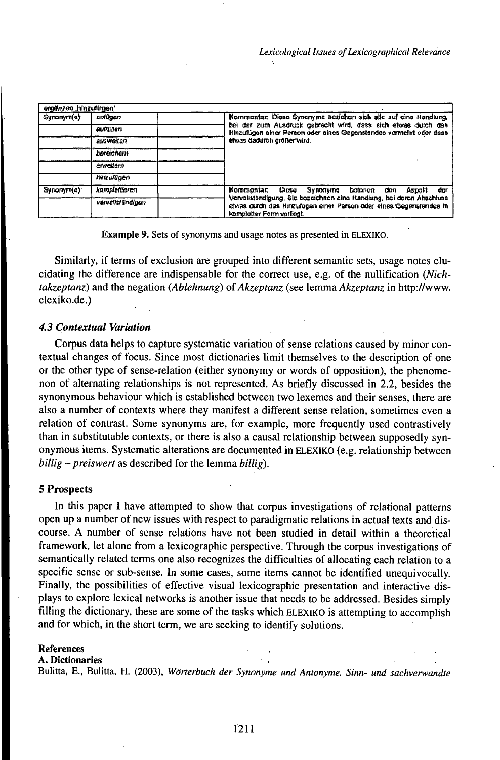| ergänzen hinzuftigen. |                       |                                                                                                                                           |       |
|-----------------------|-----------------------|-------------------------------------------------------------------------------------------------------------------------------------------|-------|
| Synonym(a);           | antinyan              | Kommentar: Diese Synonyme begiehen sich alle auf eine Handlung,                                                                           |       |
|                       | .อเสนิวิจิตก <i>.</i> | bei der zum Ausdruck gebracht wird, dass sich etwas durch das<br>Hinzufügen einer Person oder eines Gegenstandes vermehrt oder dass       |       |
|                       | ausweiten             | etwas dadurch größer wird.                                                                                                                |       |
|                       | bereichen             |                                                                                                                                           |       |
|                       | enveilern             |                                                                                                                                           |       |
|                       | himuligen             |                                                                                                                                           |       |
| Synonymic):           | kamplotticren         | Kommontar: Dicso<br><u> Synonyme</u><br>betonen<br>Aspekt<br>den<br>Vervollständigung. Sie bezeichnen eine Handiung, bei deren Abschluss- | - der |
|                       | vervollständigen      | chwas durch das Hinzufügen einer Person oder eines Gegenstendes in<br>kompletter Form vorliegt.                                           |       |

**Example 9.** Sets of synonyms and usage notes as presented in ELEXIKO.

Similarly, if terms of exclusion are grouped into different semantic sets, usage notes elucidating the difference are indispensable for the correct use, e.g. of the nullification (Nichtakzeptanz) and the negation (Ablehnung) of Akzeptanz (see lemma Akzeptanz in http://www. elexiko.de.)

#### **4.3 Contextual Variation**

Corpus data helps to capture systematic variation of sense relations caused by minor contextual changes of focus. Since most dictionaries limit themselves to the description of one or the other type of sense-relation (either synonymy or words of opposition), the phenomenon of alternating relationships is not represented. As briefly discussed in 2.2, besides the synonymous behaviour which is established between two lexemes and their senses, there are also a number of contexts where they manifest a different sense relation, sometimes even a relation of contrast. Some synonyms are, for example, more frequently used contrastively than in substitutable contexts, or there is also a causal relationship between supposedly synonymous items. Systematic alterations are documented in ELEXIKO (e.g. relationship between billig – preiswert as described for the lemma billig).

#### 5 Prospects

In this paper I have attempted to show that corpus investigations of relational patterns open up a number of new issues with respect to paradigmatic relations in actual texts and discourse. A number of sense relations have not been studied in detail within a theoretical framework, let alone from a lexicographic perspective. Through the corpus investigations of semantically related terms one also recognizes the difficulties of allocating each relation to a specific sense or sub-sense. In some cases, some items cannot be identified unequivocally. Finally, the possibilities of effective visual lexicographic presentation and interactive displays to explore lexical networks is another issue that needs to be addressed. Besides simply filling the dictionary, these are some of the tasks which ELEXIKO is attempting to accomplish and for which, in the short term, we are seeking to identify solutions.

#### **References**

A. Dictionaries

Bulitta, E., Bulitta, H. (2003), Wörterbuch der Synonyme und Antonyme. Sinn- und sachverwandte